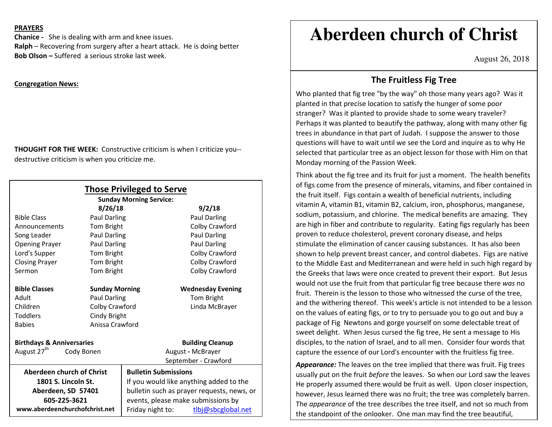## **PRAYERS**

**Chanice -** She is dealing with arm and knee issues. **Ralph** – Recovering from surgery after a heart attack. He is doing better **Bob Olson –** Suffered a serious stroke last week.

## **Congregation News:**

**THOUGHT FOR THE WEEK:** Constructive criticism is when I criticize you-destructive criticism is when you criticize me.

| <b>Those Privileged to Serve</b><br><b>Sunday Morning Service:</b> |                       |                                            |  |
|--------------------------------------------------------------------|-----------------------|--------------------------------------------|--|
| 8/26/18                                                            |                       | 9/2/18                                     |  |
| <b>Bible Class</b>                                                 | Paul Darling          | <b>Paul Darling</b>                        |  |
| Announcements                                                      | Tom Bright            | Colby Crawford                             |  |
| Song Leader                                                        | Paul Darling          | Paul Darling                               |  |
| <b>Opening Prayer</b>                                              | Paul Darling          | Paul Darling                               |  |
| Lord's Supper                                                      | Tom Bright            | Colby Crawford                             |  |
| <b>Closing Prayer</b>                                              | Tom Bright            | Colby Crawford                             |  |
| Sermon                                                             | Tom Bright            | Colby Crawford                             |  |
| <b>Bible Classes</b>                                               | <b>Sunday Morning</b> | <b>Wednesday Evening</b>                   |  |
| Adult                                                              | Paul Darling          | Tom Bright                                 |  |
| Children                                                           | Colby Crawford        | Linda McBrayer                             |  |
| <b>Toddlers</b>                                                    | Cindy Bright          |                                            |  |
| <b>Babies</b>                                                      | Anissa Crawford       |                                            |  |
| <b>Birthdays &amp; Anniversaries</b>                               |                       | <b>Building Cleanup</b>                    |  |
| August 27 <sup>th</sup>                                            | Cody Bonen            | August - McBrayer                          |  |
|                                                                    |                       | September - Crawford                       |  |
| Aberdeen church of Christ                                          |                       | <b>Bulletin Submissions</b>                |  |
| 1801 S. Lincoln St.                                                |                       | If you would like anything added to the    |  |
| Aberdeen, SD 57401                                                 |                       | bulletin such as prayer requests, news, or |  |
| 605-225-3621                                                       |                       | events, please make submissions by         |  |
| www.aberdeenchurchofchrist.net                                     |                       | Friday night to:<br>tlbj@sbcglobal.net     |  |

# **Aberdeen church of Christ**

August 26, 2018

# **The Fruitless Fig Tree**

Who planted that fig tree "by the way" oh those many years ago? Was it planted in that precise location to satisfy the hunger of some poor stranger? Was it planted to provide shade to some weary traveler? Perhaps it was planted to beautify the pathway, along with many other fig trees in abundance in that part of Judah. I suppose the answer to those questions will have to wait until we see the Lord and inquire as to why He selected that particular tree as an object lesson for those with Him on that Monday morning of the Passion Week.

Think about the fig tree and its fruit for just a moment. The health benefits of figs come from the presence of minerals, vitamins, and fiber contained in the fruit itself. Figs contain a wealth of beneficial nutrients, including vitamin A, vitamin B1, vitamin B2, calcium, iron, phosphorus, manganese, sodium, potassium, and chlorine. The medical benefits are amazing. They are high in fiber and contribute to regularity. Eating figs regularly has been proven to reduce cholesterol, prevent coronary disease, and helps stimulate the elimination of cancer causing substances. It has also been shown to help prevent breast cancer, and control diabetes. Figs are native to the Middle East and Mediterranean and were held in such high regard by the Greeks that laws were once created to prevent their export. But Jesus would not use the fruit from that particular fig tree because there *was* no fruit. Therein is the lesson to those who witnessed the curse of the tree, and the withering thereof. This week's article is not intended to be a lesson on the values of eating figs, or to try to persuade you to go out and buy a package of Fig Newtons and gorge yourself on some delectable treat of sweet delight. When Jesus cursed the fig tree, He sent a message to His disciples, to the nation of Israel, and to all men. Consider four words that capture the essence of our Lord's encounter with the fruitless fig tree.

*Appearance:* The leaves on the tree implied that there was fruit. Fig trees usually put on the fruit *before* the leaves. So when our Lord saw the leaves He properly assumed there would be fruit as well. Upon closer inspection, however, Jesus learned there was no fruit; the tree was completely barren. The *appearance* of the tree describes the tree itself, and not so much from the standpoint of the onlooker. One man may find the tree beautiful,